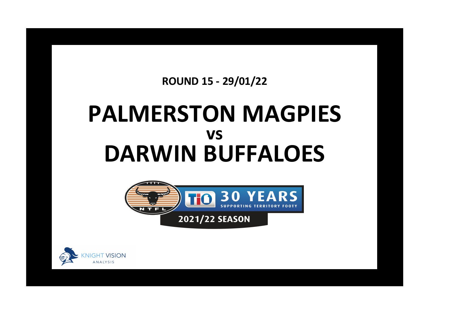## **ROUND 15 - 29/01/22**

## **PALMERSTON MAGPIES DARWIN BUFFALOES vs**



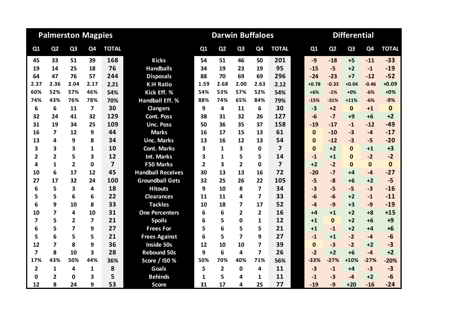|                |                | <b>Palmerston Magpies</b> |             |                |                          |      | <b>Darwin Buffaloes</b> |                |                          |                         |              | <b>Differential</b> |                |                |              |
|----------------|----------------|---------------------------|-------------|----------------|--------------------------|------|-------------------------|----------------|--------------------------|-------------------------|--------------|---------------------|----------------|----------------|--------------|
| Q1             | Q <sub>2</sub> | Q <sub>3</sub>            | Q4          | <b>TOTAL</b>   |                          | Q1   | Q <sub>2</sub>          | Q <sub>3</sub> | Q <sub>4</sub>           | <b>TOTAL</b>            | Q1           | Q <sub>2</sub>      | Q <sub>3</sub> | Q <sub>4</sub> | <b>TOTAL</b> |
| 45             | 33             | 51                        | 39          | 168            | <b>Kicks</b>             | 54   | 51                      | 46             | 50                       | 201                     | $-9$         | $-18$               | $+5$           | $-11$          | $-33$        |
| 19             | 14             | 25                        | 18          | 76             | <b>Handballs</b>         | 34   | 19                      | 23             | 19                       | 95                      | $-15$        | $-5$                | $+2$           | $-1$           | $-19$        |
| 64             | 47             | 76                        | 57          | 244            | <b>Disposals</b>         | 88   | 70                      | 69             | 69                       | 296                     | $-24$        | $-23$               | $+7$           | $-12$          | $-52$        |
| 2.37           | 2.36           | 2.04                      | 2.17        | 2.21           | <b>K:H Ratio</b>         | 1.59 | 2.68                    | 2.00           | 2.63                     | 2.12                    | $+0.78$      | $-0.33$             | $+0.04$        | $-0.46$        | $+0.09$      |
| 60%            | 52%            | 57%                       | 46%         | 54%            | Kick Eff. %              | 54%  | 53%                     | 57%            | 52%                      | 54%                     | $+6%$        | $-1%$               | $+0%$          | $-6%$          | $+0%$        |
| 74%            | 43%            | 76%                       | 78%         | 70%            | <b>Handball Eff. %</b>   | 88%  | 74%                     | 65%            | 84%                      | 79%                     | $-15%$       | $-31%$              | $+11%$         | $-6%$          | $-9%$        |
| 6              | 6              | 11                        | 7           | 30             | <b>Clangers</b>          | 9    | 4                       | 11             | 6                        | 30                      | $-3$         | $+2$                | $\mathbf{0}$   | $+1$           | $\mathbf 0$  |
| 32             | 24             | 41                        | 32          | 129            | <b>Cont. Poss</b>        | 38   | 31                      | 32             | 26                       | 127                     | $-6$         | $-7$                | $+9$           | $+6$           | $+2$         |
| 31             | 19             | 34                        | 25          | 109            | <b>Unc. Poss</b>         | 50   | 36                      | 35             | 37                       | 158                     | $-19$        | $-17$               | $-1$           | $-12$          | $-49$        |
| 16             | 7              | 12                        | 9           | 44             | <b>Marks</b>             | 16   | 17                      | 15             | 13                       | 61                      | $\mathbf{0}$ | $-10$               | $-3$           | $-4$           | $-17$        |
| 13             | 4              | 9                         | 8           | 34             | <b>Unc. Marks</b>        | 13   | 16                      | 12             | 13                       | 54                      | $\Omega$     | $-12$               | $-3$           | $-5$           | $-20$        |
| 3              | 3              | 3                         | 1           | 10             | <b>Cont. Marks</b>       | 3    | 1                       | 3              | 0                        | $\overline{\mathbf{z}}$ | $\Omega$     | $+2$                | $\Omega$       | $+1$           | $+3$         |
| $\overline{2}$ | $\overline{2}$ | 5                         | 3           | 12             | Int. Marks               | 3    | 1                       | 5              | 5                        | 14                      | $-1$         | $+1$                | $\bf{0}$       | $-2$           | $-2$         |
| 4              | $\mathbf{1}$   | $\overline{2}$            | $\mathbf 0$ | $\overline{7}$ | F50 Marks                | 2    | 3                       | $\overline{2}$ | 0                        | $\overline{7}$          | $+2$         | $-2$                | $\mathbf{0}$   | $\mathbf{0}$   | $\bf{0}$     |
| 10             | 6              | 17                        | 12          | 45             | <b>Handball Receives</b> | 30   | 13                      | 13             | 16                       | 72                      | $-20$        | $-7$                | $+4$           | $-4$           | $-27$        |
| 27             | 17             | 32                        | 24          | 100            | <b>Groundball Gets</b>   | 32   | 25                      | 26             | 22                       | 105                     | $-5$         | $-8$                | $+6$           | $+2$           | $-5$         |
| 6              | 5              | 3                         | 4           | 18             | <b>Hitouts</b>           | 9    | 10                      | 8              | 7                        | 34                      | $-3$         | $-5$                | $-5$           | $-3$           | $-16$        |
| 5              | 5              | 6                         | 6           | 22             | <b>Clearances</b>        | 11   | 11                      | 4              | $\overline{\phantom{a}}$ | 33                      | $-6$         | $-6$                | $+2$           | $-1$           | $-11$        |
| 6              | 9              | 10                        | 8           | 33             | <b>Tackles</b>           | 10   | 18                      | 7              | 17                       | 52                      | $-4$         | $-9$                | $+3$           | $-9$           | $-19$        |
| 10             | 7              | 4                         | 10          | 31             | <b>One Percenters</b>    | 6    | 6                       | $\mathbf{2}$   | 2                        | 16                      | $+4$         | $+1$                | $+2$           | $+8$           | $+15$        |
| 7              | 5              | $\mathbf{2}$              | 7           | 21             | <b>Spoils</b>            | 6    | 5                       | $\Omega$       | 1                        | 12                      | $+1$         | $\Omega$            | $+2$           | $+6$           | $+9$         |
| 6              | 5              | 7                         | 9           | 27             | <b>Frees For</b>         | 5    | 6                       | 5              | 5                        | 21                      | $+1$         | $-1$                | $+2$           | $+4$           | $+6$         |
| 5              | 6              | 5                         | 5           | 21             | <b>Frees Against</b>     | 6    | 5                       | $\overline{7}$ | 9                        | 27                      | $-1$         | $+1$                | $-2$           | $-4$           | $-6$         |
| 12             | $\overline{7}$ | 8                         | 9           | 36             | <b>Inside 50s</b>        | 12   | 10                      | 10             | 7                        | 39                      | $\Omega$     | $-3$                | $-2$           | $+2$           | $-3$         |
| 7              | 8              | 10                        | 3           | 28             | <b>Rebound 50s</b>       | 9    | 6                       | 4              | 7                        | 26                      | $-2$         | $+2$                | $+6$           | $-4$           | $+2$         |
| 17%            | 43%            | 50%                       | 44%         | 36%            | Score / I50 %            | 50%  | 70%                     | 40%            | 71%                      | 56%                     | $-33%$       | $-27%$              | $+10%$         | $-27%$         | $-20%$       |
| $\overline{2}$ | $\mathbf{1}$   | 4                         | 1           | 8              | <b>Goals</b>             | 5    | $\overline{2}$          | 0              | 4                        | 11                      | $-3$         | $-1$                | $+4$           | $-3$           | $-3$         |
| 0              | $\overline{2}$ | 0                         | 3           | 5              | <b>Behinds</b>           | 1    | 5                       | 4              | 1                        | 11                      | $-1$         | $-3$                | -4             | $+2$           | $-6$         |
| 12             | 8              | 24                        | 9           | 53             | <b>Score</b>             | 31   | 17                      | 4              | 25                       | 77                      | $-19$        | $-9$                | $+20$          | $-16$          | $-24$        |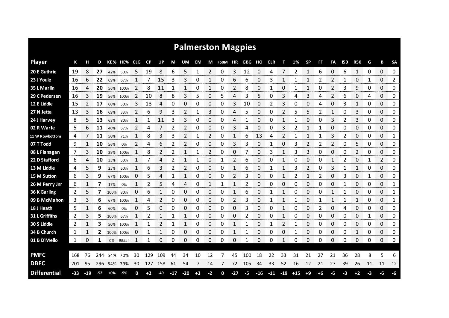| <b>Palmerston Magpies</b> |     |       |     |       |           |            |           |     |       |                |           |             |         |       |        |       |            |       |       |           |      |              |     |              |    |    |               |
|---------------------------|-----|-------|-----|-------|-----------|------------|-----------|-----|-------|----------------|-----------|-------------|---------|-------|--------|-------|------------|-------|-------|-----------|------|--------------|-----|--------------|----|----|---------------|
| <b>Player</b>             | К   |       | D   |       | KE % HE%  | <b>CLG</b> | <b>CP</b> | UP  | М     | UM             | <b>CM</b> | IM          | F50M HR |       | GBG HO |       | <b>CLR</b> |       | 1%    | <b>SP</b> | FF   | FA           | 150 | <b>R50</b>   | G  | в  | <b>SA</b>     |
| 20 E Guthrie              | 19  | 8     | 27  | 42%   | 50%       | 5          | 19        | 8   | 6     | 5              | 1         | 2           | 0       | 3     | 12     | 0     | 4          |       |       | 1         | 6    | 0            | 6   | 1            | 0  | 0  | 0             |
| 23 J Youle                | 16  | 6     | 22  | 69%   | 67%       | 1          | 7         | 15  | 3     | 3              | 0         | 1           | 0       | 6     | 6      | 0     | 3          | 1     | 1     | 1         | 2    | 2            | 1   | 0            | 1  | 0  | 2             |
| 35 L Marlin               | 16  | 4     | 20  | 56%   | 100%      | 2          | 8         | 11  | 1     | 1              | 0         | 1           | 0       | 2     | 8      | 0     |            | 0     |       | 1         | 0    | 2            | 3   | 9            | 0  | 0  | 0             |
| 29 C Pedersen             | 16  | 3     | 19  | 56%   | 100%      | 2          | 10        | 8   | 8     | 3              | 5         | 0           | 5       | 4     | 3      | 5     | 0          | 3     | 4     | 3         | 4    | 2            | 6   | 0            | 4  | 0  | 0             |
| 12 E Liddle               | 15  | 2     | 17  | 60%   | 50%       | 3          | 13        | 4   | 0     | 0              | 0         | 0           | 0       | 3     | 10     | 0     | 2          | 3     | 0     | 0         | 4    | $\Omega$     | 3   | $\mathbf{1}$ | 0  | 0  | 0             |
| 27 N Jetta                | 13  | 3     | 16  | 69%   | 33%       | 2          | 6         | 9   | 3     | $\overline{2}$ | 1         | 3           | 0       | 4     | 5      | 0     | 0          | 2     | 5     | 5         | 2    | $\mathbf{1}$ | 0   | 3            | 0  | 0  | 0             |
| 24 J Harvey               | 8   | 5     | 13  | 63%   | 80%       |            | 1         | 11  | 3     | 3              | 0         | 0           | 0       | 4     |        | 0     | 0          | 1     |       | 0         | Ω    | 3            |     | 3            | 0  | 0  | 0             |
| 02 R Warfe                | 5   | 6     | 11  | 40%   | 67%       | 2          | 4         | 7   | 2     | 2              | 0         | 0           | 0       | 3     | 4      | 0     | 0          | 3     | 2     | 1         | 1    | 0            | 0   | 0            | 0  | 0  | 0             |
| 11 W Rowbottom            | 4   |       | 11  | 50%   | 71%       | 1          | 8         | 3   | 3     | 2              | 1         | 2           | 0       | 1     | 6      | 13    | 4          | 2     |       | 1         | 1    | 3            | 2   | 0            | 0  | 0  | 1             |
| 07 T Todd                 | 9   | 1     | 10  | 56%   | 0%        | 2          | 4         | 6   | 2     | 2              | 0         | 0           | 0       | 3     | 3      | 0     | 1          | 0     | 3     | 2         | 2    | 2            | 0   | 5            | 0  | 0  | 0             |
| 08 L Flanagan             | 7   |       | 10  | 29%   | 100%      |            | 8         |     | 2     | 1              | 1         | 2           | 0       | 0     |        | 0     |            | 1     |       | 3         | 0    | 0            | O   | 2            | 0  | 0  | 0             |
| 22 D Stafford             | 6   | 4     | 10  | 33%   | 50%       | 1          |           | 4   | 2     | 1              | 1         | 0           | 1       | 2     | 6      | 0     | 0          | 1     | 0     | 0         | 0    | 1            | 2   | 0            | 1  | 2  | 0             |
| 13 M Liddle               | 4   | 5     | 9   | 25%   | 60%       |            | 6         | 3   | 2     | $\mathcal{P}$  | 0         | 0           | 0       | 1     | 6      | 0     | 1          | 1     | 3     | 2         | 0    | 3            |     | 1            | 0  | 0  | 0             |
| 15 M Sutton               | 6   | 3     | 9   | 67%   | 100%      | 0          | 5         | 4   | 1     | 1              | 0         | 0           | 0       | 2     | 3      | 0     | 0          | 1     | 2     | 1         | 2    | $\Omega$     | 3   | 0            | 1  | 0  | 0             |
| 26 M Perry Jnr            | 6   |       |     | 17%   | 0%        |            | 2         |     | 4     | 4              | 0         |             |         |       | 2      | 0     | 0          | 0     | 0     | 0         | 0    | 0            |     | 0            | 0  | 0  | 1             |
| 36 K Garling              | 2   | 5     |     | 100%  | 80%       | 0          | 6         | 1   | 0     | 0              | 0         | 0           | 0       | 1     | 6      | 0     |            | 1     | 0     | 0         | O    | 1            |     | 0            | 0  | 0  | 1             |
| 09 B McMahon              | 3   | 3     | 6   | 67%   | 100%      |            | 4         | 2   | 0     | 0              | 0         | 0           | 0       | 2     | 3      | 0     |            | 1     |       | 0         | 1    | 1            |     | 1            | 0  | 0  | 1             |
| 18 J Heath                | 5   | 1     | 6   | 60%   | 0%        | 0          | 5         | 0   | 0     | 0              | 0         | 0           | 0       | 0     | 3      | 0     | 0          | 1     | 0     | 0         | 2    | 0            | 4   | 0            | 0  | 0  | 0             |
| 31 L Griffiths            | 2   | 3     | 5   | 100%  | 67%       |            | 2         |     |       |                | 0         | 0           | 0       | 0     | 2      | 0     |            | 1     | 0     | 0         | 0    | 0            | 0   | 0            |    | 0  | 0             |
| 30 S Liddle               | 2   |       | З   | 50%   | 100%      |            |           | 2   | 1     | 1              | 0         | 0<br>ommen. | 0       |       | 1      | 0     |            | 2     |       | 0         | 0    | 0            | 0   | 0            | 0  | 0  | 0<br>ananana. |
| 34 B Church               | 1   |       | 2   |       | 100% 100% | O          |           |     | Ω     | 0              | 0         | 0           | 0       |       |        | 0     | 0          | O     |       | 0         | 0    | 0            | 0   |              | 0  | 0  | 0             |
| 01 B D'Mello              | 1   | 0     | 1   | 0%    | #####     |            |           | 0   | 0     | 0              | 0         | 0           | 0       | 0     | 1      | 0     | 0          | 1     | 0     | 0         | 0    | 0            | 0   | 0            | 0  | 0  | 0             |
| <b>PMFC</b>               | 168 | 76    | 244 | 54%   | 70%       | 30         | 129       | 109 | 44    | 34             | 10        | 12          |         | 45    | 100    | 18    | 22         | 33    | 31    | 21        | 27   | 21           | 36  | 28           | 8  | 5  | 6             |
| <b>DBFC</b>               | 201 | 95    | 296 |       | 54% 79%   | 30         | 127       | 158 | 61    | 54             | 7         | 14          | 7       | 72    | 105    | 34    | 33         | 52    | 16    | 12        | 21   | 27           | 39  | 26           | 11 | 11 | 12            |
| <b>Differential</b>       | -33 | $-19$ | -52 | $+0%$ | -9%       | O          | +2        | -49 | $-17$ | $-20$          | $+3$      | $-2$        | 0       | $-27$ | $-5$   | $-16$ | $-11$      | $-19$ | $+15$ | $+9$      | $+6$ | -6           | -3  | $+2$         | -3 | -6 | -6            |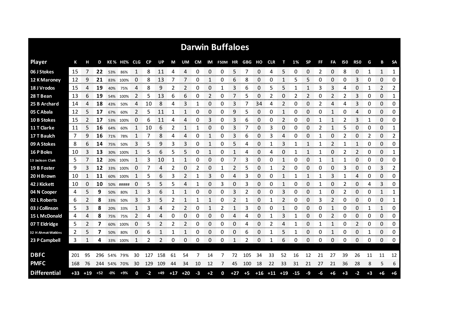| <b>Darwin Buffaloes</b> |       |       |       |     |             |              |           |       |    |             |      |      |                |       |      |                   |            |    |       |           |    |             |      |                |      |                |              |
|-------------------------|-------|-------|-------|-----|-------------|--------------|-----------|-------|----|-------------|------|------|----------------|-------|------|-------------------|------------|----|-------|-----------|----|-------------|------|----------------|------|----------------|--------------|
| <b>Player</b>           | К     |       | D     |     | KE% HE% CLG |              | <b>CP</b> | UP    | М  | UM          | CM   |      | IM F50M HR GBG |       |      | но                | <b>CLR</b> | т  | 1%    | <b>SP</b> | FF | FA          | 150  | <b>R50</b>     | G    | в              | <b>SA</b>    |
| 06 J Stokes             | 15    |       | 22    | 53% | 86%         | 1            | 8         | 11    | 4  | 4           | 0    | 0    | 0              | 5     | 7    | 0                 | 4          | 5  | 0     | 0         | 2  | 0           | 8    | 0              | 1    | $\mathbf{1}$   | $\mathbf{1}$ |
| 12 K Maroney            | 12    | 9     | 21    |     | 83% 100%    | 0            | 8         | 13    | 7  | 7           | 0    | 1    | 0              | 6     | 8    | 0                 | 0          | 1  | 5     | 5         | 0  | 0           | 0    | 3              | 0    | 0              | 0            |
| 18 J Vrodos             | 15    | 4     | 19    | 40% | 75%         | 4            | 8         | 9     | 2  | 2           | 0    | 0    | 1              | 3     | 6    | 0                 | 5          | 5  | 1     | 1         | 3  | 3           | 4    | 0              | 1    | $\overline{2}$ | 2            |
| 28 T Bean               | 13    | 6     | 19    | 54% | 100%        | 2            | 5         | 13    | 6  | 6           | 0    | 2    | 0              | 7     | 5    | 0                 | 2          | 0  | 2     | 2         | 0  | 2           | 2    | 3              | 0    | 0              | 1            |
| 25 B Archard            | 14    | 4     | 18    | 43% | 50%         | 4            | 10        | 8     | 4  | 3           | 1    | 0    | 0              | 3     | 7    | 34                | 4          | 2  | 0     | 0         | 2  | 4           | 4    | 3              | 0    | 0              | 0            |
| 05 C Abala              | 12    | 5     | 17    | 67% | 60%         | 2            | 5         | 11    | 1  | 1           | 0    | 0    | 0              | 9     | 5    | 0                 | 0          | 1  | 0     | 0         | 0  | $\mathbf 1$ | 0    | 4              | 0    | 0              | 0            |
| 10 B Stokes             | 15    | 2     | 17    | 53% | 100%        | 0            | 6         | 11    | 4  | 4           | 0    | 3    | 0              | 3     | 6    | 0                 | 0          | 2  | 0     | 0         | 1  | 1           | 2    | 3              | 1    | $\Omega$       | 0            |
| 11 T Clarke             | 11    | 5     | 16    | 64% | 60%         | $\mathbf{1}$ | 10        | 6     | 2  | 1           | 1    | 0    | 0              | 3     | 7    | 0                 | 3          | 0  | 0     | 0         | 2  | 1           | 5    | 0              | 0    | 0              | 1            |
| 17 T Baulch             | 7     | 9     | 16    | 71% | 78%         | $\mathbf{1}$ | 7         | 8     | 4  | 4           | 0    | 1    | 0              | 3     | 6    | 0                 | 3          | 4  | 0     | 0         | 1  | 0           | 2    | 0              | 2    | $\Omega$       | 2            |
| 09 A Stokes             | 8     | 6     | 14    | 75% | 50%         | 3            | 5         | 9     | 3  | 3           | 0    | 1    | 0              | 5     | 4    | 0                 |            | 3  |       | 1         | 1  | 2           | 1    | 1              | 0    | 0              | 0            |
| 16 P Boles              | 10    | 3     | 13    | 30% | 100%        |              | 5         | 6     | 5  | 5           | 0    |      | 0              |       | 4    | 0                 | 4          | 0  |       |           |    | 0           | 2    | $\overline{2}$ | 0    | 0              | 1            |
| 13 Jackson Clark        | 5     |       | 12    | 20% | 100%        | 1            | 3         | 10    |    | 1           | 0    | 0    | 0              | 7     | 3    | 0                 | 0          | 1  | 0     | 0         | 1  | 1           | 1    | 0              | 0    | 0              | 0            |
| 19 B Foster             | 9     | 3     | 12    |     | 33% 100%    | 0            | 7         | 4     | 2  | 0           | 2    | 0    | 1              | 2     | 5    | 0                 |            | 2  | 0     | 0         | 0  | 0           | 3    | 0              | 0    | 3              | 2            |
| 20 H Brown              | 10    |       | 11    | 60% | 100%        | 1            | 5         | 6     | 3  | 2           |      | 3    | 0              | 4     | 3    | 0                 | 0          |    |       |           |    | 3           |      | 4              | 0    | 0              | 0            |
| 42 J Kickett            | 10    | 0     | 10    |     | 50% #####   | O            | 5         | 5     | 5  |             |      | 0    | 3              | 0     | 3    | 0                 | 0          |    | O     | 0         |    | 0           | 2    | 0              | 4    | 3              | 0            |
| 04 N Cooper             | 4     | 5     | 9     | 50% | 80%         |              | 3         | 6     |    |             | O    | 0    | 0              | 3     | 2    | 0                 | 0          | 3  | O     | O         |    | 0           | 2    | 0              | 0    | 1              | 1<br>mmmm    |
| 02 L Roberts            | 6     | 2     | 8     | 33% | 50%         | 3            | 3         | 5     | 2  |             |      |      | 0              | 2     |      | 0                 |            | 2  | 0     | 0         | 3  | 2           | 0    | 0              | 0    | 0              | 1            |
| 03 J Collinson          | 5     | 3     | 8     | 20% | 33%         | 1            | 3         | Δ     | 2  | 2           | Ω    |      | 2              | 1     | 3    | 0                 | 0          |    | 0     | 0         | O  |             | 0    | 0              |      | 1              | 0            |
| 15 L McDonald           | 4     | 4     | 8     | 75% | 75%         | 2            | 4         | 4     | 0  | 0           | 0    | 0    | 0              | 4     | 4    | 0                 |            | 3  |       | 0         | 0  | 2           | 0    | 0              | 0    | 0              | 0            |
| 07 T Eldridge           | 5     | 2     | 7     | 60% | 100%        | 0            | 5         |       | 2  | 2           | 0    | 0    | 0              | 0     | 4    | 0                 | 2          | 4  |       | 0         |    | 1           | 0    | 2              | 0    | 0              | 0            |
| 32 H Ahmat-Watkins      | 2     | 5     | 7     | 50% | 80%         | 0            | 6         |       |    | 1           | 0    | 0    | 0              | 0     | 6    | 0                 |            | 5  |       | 0         | 0  | 1           | 0    | 0              | 1    | 0              | 0            |
| 23 P Campbell           | 3     | 1     | 4     |     | 33% 100%    | 1            | 2         | 2     | 0  | 0           | 0    | 0    | 0              | 1     | 2    | 0                 |            | 6  | 0     | 0         | 0  | 0           | 0    | 0              | 0    | 0              | 0            |
|                         |       |       |       |     |             |              |           |       |    |             |      |      |                |       |      |                   |            |    |       |           |    |             |      |                |      |                |              |
| <b>DBFC</b>             | 201   | 95    | 296   | 54% | 79%         | 30           | 127       | 158   | 61 | 54          | 7    | 14   | 7              | 72    | 105  | 34                | 33         | 52 | 16    | 12        | 21 | 27          | 39   | 26             | 11   | 11             | 12           |
| <b>PMFC</b>             | 168   | 76    | 244   |     | 54% 70%     | 30           | 129       | 109   | 44 | 34          | 10   | 12   | 7              | 45    | 100  | 18                | 22         | 33 | 31    | 21        | 27 | 21          | 36   | 28             | 8    | 5              | 6            |
| <b>Differential</b>     | $+33$ | $+19$ | $+52$ | -0% | +9%         | 0            | $-2$      | $+49$ |    | $+17$ $+20$ | $-3$ | $+2$ | 0              | $+27$ | $+5$ | $+16$ $+11$ $+19$ |            |    | $-15$ | $-9$      | -6 | $+6$        | $+3$ | $-2$           | $+3$ | $+6$           | $+6$         |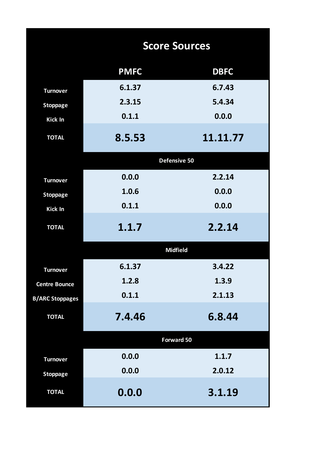|                        | <b>Score Sources</b> |                 |  |  |  |  |  |  |  |  |
|------------------------|----------------------|-----------------|--|--|--|--|--|--|--|--|
|                        | <b>PMFC</b>          | <b>DBFC</b>     |  |  |  |  |  |  |  |  |
| <b>Turnover</b>        | 6.1.37               | 6.7.43          |  |  |  |  |  |  |  |  |
| <b>Stoppage</b>        | 2.3.15               | 5.4.34          |  |  |  |  |  |  |  |  |
| Kick In                | 0.1.1                | 0.0.0           |  |  |  |  |  |  |  |  |
| <b>TOTAL</b>           | 8.5.53               | 11.11.77        |  |  |  |  |  |  |  |  |
|                        |                      | Defensive 50    |  |  |  |  |  |  |  |  |
| <b>Turnover</b>        | 0.0.0                | 2.2.14          |  |  |  |  |  |  |  |  |
| <b>Stoppage</b>        | 1.0.6                | 0.0.0           |  |  |  |  |  |  |  |  |
| Kick In                | 0.1.1                | 0.0.0           |  |  |  |  |  |  |  |  |
| <b>TOTAL</b>           | 1.1.7                | 2.2.14          |  |  |  |  |  |  |  |  |
|                        |                      | <b>Midfield</b> |  |  |  |  |  |  |  |  |
| <b>Turnover</b>        | 6.1.37               | 3.4.22          |  |  |  |  |  |  |  |  |
| <b>Centre Bounce</b>   | 1.2.8                | 1.3.9           |  |  |  |  |  |  |  |  |
| <b>B/ARC Stoppages</b> | 0.1.1                | 2.1.13          |  |  |  |  |  |  |  |  |
| <b>TOTAL</b>           | 7.4.46               | 6.8.44          |  |  |  |  |  |  |  |  |
|                        |                      | Forward 50      |  |  |  |  |  |  |  |  |
| <b>Turnover</b>        | 0.0.0                | 1.1.7           |  |  |  |  |  |  |  |  |
| <b>Stoppage</b>        | 0.0.0                | 2.0.12          |  |  |  |  |  |  |  |  |
| <b>TOTAL</b>           | 0.0.0                | 3.1.19          |  |  |  |  |  |  |  |  |